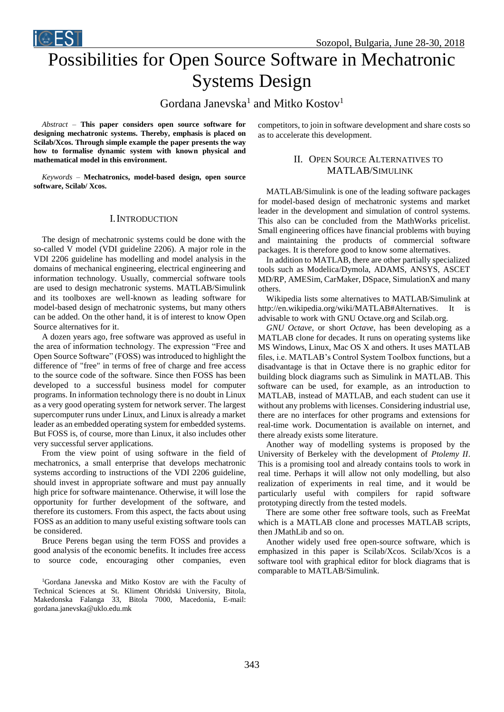# Possibilities for Open Source Software in Mechatronic Systems Design

Gordana Janevska<sup>1</sup> and Mitko Kostov<sup>1</sup>

*Abstract –* **This paper considers open source software for designing mechatronic systems. Thereby, emphasis is placed on Scilab/Xcos. Through simple example the paper presents the way how to formalise dynamic system with known physical and mathematical model in this environment.** 

**ICEST** 

*Keywords –* **Mechatronics, model-based design, open source software, Scilab/ Xcos.**

### I.INTRODUCTION

The design of mechatronic systems could be done with the so-called V model (VDI guideline 2206). A major role in the VDI 2206 guideline has modelling and model analysis in the domains of mechanical engineering, electrical engineering and information technology. Usually, commercial software tools are used to design mechatronic systems. MATLAB/Simulink and its toolboxes are well-known as leading software for model-based design of mechatronic systems, but many others can be added. On the other hand, it is of interest to know Open Source alternatives for it.

A dozen years ago, free software was approved as useful in the area of information technology. The expression "Free and Open Source Software" (FOSS) was introduced to highlight the difference of "free" in terms of free of charge and free access to the source code of the software. Since then FOSS has been developed to a successful business model for computer programs. In information technology there is no doubt in Linux as a very good operating system for network server. The largest supercomputer runs under Linux, and Linux is already a market leader as an embedded operating system for embedded systems. But FOSS is, of course, more than Linux, it also includes other very successful server applications.

From the view point of using software in the field of mechatronics, a small enterprise that develops mechatronic systems according to instructions of the VDI 2206 guideline, should invest in appropriate software and must pay annually high price for software maintenance. Otherwise, it will lose the opportunity for further development of the software, and therefore its customers. From this aspect, the facts about using FOSS as an addition to many useful existing software tools can be considered.

Bruce Perens began using the term FOSS and provides a good analysis of the economic benefits. It includes free access to source code, encouraging other companies, even

<sup>1</sup>Gordana Janevska and Mitko Kostov are with the Faculty of Technical Sciences at St. Kliment Ohridski University, Bitola, Makedonska Falanga 33, Bitola 7000, Macedonia, E-mail: gordana.janevska@uklo.edu.mk

competitors, to join in software development and share costs so as to accelerate this development.

# II. OPEN SOURCE ALTERNATIVES TO MATLAB/SIMULINK

MATLAB/Simulink is one of the leading software packages for model-based design of mechatronic systems and market leader in the development and simulation of control systems. This also can be concluded from the MathWorks pricelist. Small engineering offices have financial problems with buying and maintaining the products of commercial software packages. It is therefore good to know some alternatives.

In addition to MATLAB, there are other partially specialized tools such as Modelica/Dymola, ADAMS, ANSYS, ASCET MD/RP, AMESim, CarMaker, DSpace, SimulationX and many others.

Wikipedia lists some alternatives to MATLAB/Simulink at http://en.wikipedia.org/wiki/MATLAB#Alternatives. It is advisable to work with GNU Octave.org and Scilab.org.

*GNU Octave*, or short *Octave*, has been developing as a MATLAB clone for decades. It runs on operating systems like MS Windows, Linux, Mac OS X and others. It uses MATLAB files, i.e. MATLAB's Control System Toolbox functions, but a disadvantage is that in Octave there is no graphic editor for building block diagrams such as Simulink in MATLAB. This software can be used, for example, as an introduction to MATLAB, instead of MATLAB, and each student can use it without any problems with licenses. Considering industrial use, there are no interfaces for other programs and extensions for real-time work. Documentation is available on internet, and there already exists some literature.

Another way of modelling systems is proposed by the University of Berkeley with the development of *Ptolemy II*. This is a promising tool and already contains tools to work in real time. Perhaps it will allow not only modelling, but also realization of experiments in real time, and it would be particularly useful with compilers for rapid software prototyping directly from the tested models.

There are some other free software tools, such as FreeMat which is a MATLAB clone and processes MATLAB scripts, then JMathLib and so on.

Another widely used free open-source software, which is emphasized in this paper is Scilab/Xcos. Scilab/Xcos is a software tool with graphical editor for block diagrams that is comparable to MATLAB/Simulink.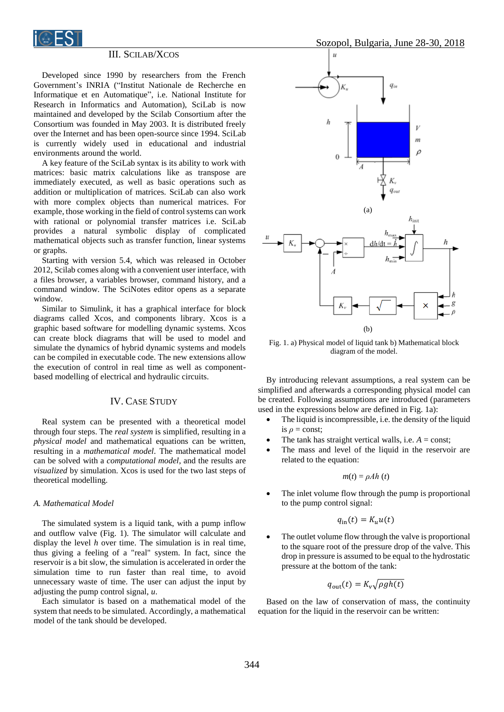

# III. SCILAB/XCOS

Developed since 1990 by researchers from the French Government's INRIA ("Institut Nationale de Recherche en Informatique et en Automatique", i.e. National Institute for Research in Informatics and Automation), SciLab is now maintained and developed by the Scilab Consortium after the Consortium was founded in May 2003. It is distributed freely over the Internet and has been open-source since 1994. SciLab is currently widely used in educational and industrial environments around the world.

A key feature of the SciLab syntax is its ability to work with matrices: basic matrix calculations like as transpose are immediately executed, as well as basic operations such as addition or multiplication of matrices. SciLab can also work with more complex objects than numerical matrices. For example, those working in the field of control systems can work with rational or polynomial transfer matrices i.e. SciLab provides a natural symbolic display of complicated mathematical objects such as transfer function, linear systems or graphs.

Starting with version 5.4, which was released in October 2012, Scilab comes along with a convenient user interface, with a files browser, a variables browser, command history, and a command window. The SciNotes editor opens as a separate window.

Similar to Simulink, it has a graphical interface for block diagrams called Xcos, and components library. Xcos is a graphic based software for modelling dynamic systems. Xcos can create block diagrams that will be used to model and simulate the dynamics of hybrid dynamic systems and models can be compiled in executable code. The new extensions allow the execution of control in real time as well as componentbased modelling of electrical and hydraulic circuits.

#### IV. CASE STUDY

Real system can be presented with a theoretical model through four steps. The *real system* is simplified, resulting in a *physical model* and mathematical equations can be written, resulting in a *mathematical model*. The mathematical model can be solved with a *computational model*, and the results are *visualized* by simulation. Xcos is used for the two last steps of theoretical modelling.

## *A. Mathematical Model*

The simulated system is a liquid tank, with a pump inflow and outflow valve (Fig. 1). The simulator will calculate and display the level *h* over time. The simulation is in real time, thus giving a feeling of a "real" system. In fact, since the reservoir is a bit slow, the simulation is accelerated in order the simulation time to run faster than real time, to avoid unnecessary waste of time. The user can adjust the input by adjusting the pump control signal, *u*.

Each simulator is based on a mathematical model of the system that needs to be simulated. Accordingly, a mathematical model of the tank should be developed.



Fig. 1. a) Physical model of liquid tank b) Mathematical block diagram of the model.

By introducing relevant assumptions, a real system can be simplified and afterwards a corresponding physical model can be created. Following assumptions are introduced (parameters used in the expressions below are defined in Fig. 1a):

- The liquid is incompressible, i.e. the density of the liquid is  $\rho$  = const:
- The tank has straight vertical walls, i.e.  $A = const$ ;
- The mass and level of the liquid in the reservoir are related to the equation:

$$
m(t) = \rho Ah(t)
$$

 The inlet volume flow through the pump is proportional to the pump control signal:

$$
q_{\rm in}(t) = K_u u(t)
$$

 The outlet volume flow through the valve is proportional to the square root of the pressure drop of the valve. This drop in pressure is assumed to be equal to the hydrostatic pressure at the bottom of the tank:

$$
q_{\text{out}}(t) = K_{\text{v}} \sqrt{\rho g h(t)}
$$

Based on the law of conservation of mass, the continuity equation for the liquid in the reservoir can be written: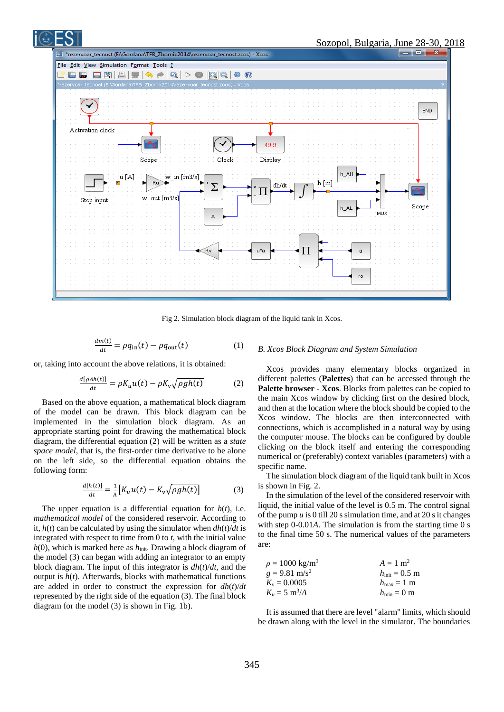

Fig 2. Simulation block diagram of the liquid tank in Xcos.

$$
\frac{dm(t)}{dt} = \rho q_{\rm in}(t) - \rho q_{\rm out}(t) \tag{1}
$$

or, taking into account the above relations, it is obtained:

$$
\frac{d[\rho Ah(t)]}{dt} = \rho K_u u(t) - \rho K_v \sqrt{\rho gh(t)} \tag{2}
$$

Based on the above equation, a mathematical block diagram of the model can be drawn. This block diagram can be implemented in the simulation block diagram. As an appropriate starting point for drawing the mathematical block diagram, the differential equation (2) will be written as a *state space model*, that is, the first-order time derivative to be alone on the left side, so the differential equation obtains the following form:

$$
\frac{d[h(t)]}{dt} = \frac{1}{A} \left[ K_u u(t) - K_v \sqrt{\rho g h(t)} \right] \tag{3}
$$

The upper equation is a differential equation for *h*(*t*), i.e. *mathematical model* of the considered reservoir. According to it,  $h(t)$  can be calculated by using the simulator when  $dh(t)/dt$  is integrated with respect to time from 0 to *t*, with the initial value *h*(0), which is marked here as *h*<sub>init</sub>. Drawing a block diagram of the model (3) can began with adding an integrator to an empty block diagram. The input of this integrator is *dh*(*t*)/*dt*, and the output is  $h(t)$ . Afterwards, blocks with mathematical functions are added in order to construct the expression for *dh*(*t*)/*dt* represented by the right side of the equation (3). The final block diagram for the model (3) is shown in Fig. 1b).

#### *B. Xcos Block Diagram and System Simulation*

Xcos provides many elementary blocks organized in different palettes (**Palettes**) that can be accessed through the **Palette browser - Xcos**. Blocks from palettes can be copied to the main Xcos window by clicking first on the desired block, and then at the location where the block should be copied to the Xcos window. The blocks are then interconnected with connections, which is accomplished in a natural way by using the computer mouse. The blocks can be configured by double clicking on the block itself and entering the corresponding numerical or (preferably) context variables (parameters) with a specific name.

The simulation block diagram of the liquid tank built in Xcos is shown in Fig. 2.

In the simulation of the level of the considered reservoir with liquid, the initial value of the level is 0.5 m. The control signal of the pump  $\mu$  is 0 till 20 s simulation time, and at 20 s it changes with step 0-0.01*A*. The simulation is from the starting time 0 s to the final time 50 s. The numerical values of the parameters are:

| $\rho = 1000 \text{ kg/m}^3$ | $A = 1$ m <sup>2</sup>         |
|------------------------------|--------------------------------|
| $g = 9.81$ m/s <sup>2</sup>  | $h_{\text{init}} = 0.5$ m      |
| $K_v = 0.0005$               | $h_{\text{max}} = 1 \text{ m}$ |
| $K_u = 5 \text{ m}^3/A$      | $h_{\min} = 0$ m               |

It is assumed that there are level "alarm" limits, which should be drawn along with the level in the simulator. The boundaries